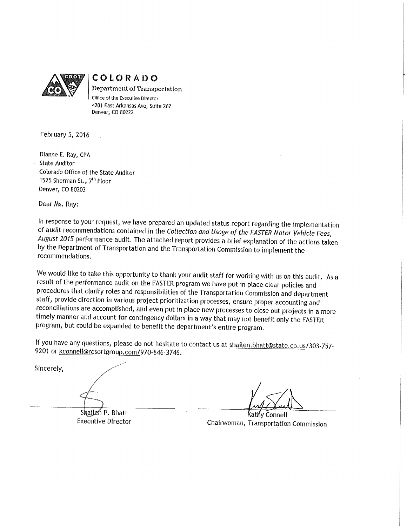

COLORADO Department of Transportation Office of the Executive Director 4201 East Arkansas Ave, Suite 262 Denver, CO 80222

February 5, 2016

Dianne E. Ray, CPA **State Auditor** Colorado Office of the State Auditor 1525 Sherman St., 7<sup>th</sup> Floor Denver, CO 80203

Dear Ms. Ray:

In response to your request, we have prepared an updated status report regarding the implementation of audit recommendations contained in the Collection and Usage of the FASTER Motor Vehicle Fees, August 2015 performance audit. The attached report provides a brief explanation of the actions taken by the Department of Transportation and the Transportation Commission to implement the recommendations.

We would like to take this opportunity to thank your audit staff for working with us on this audit. As a result of the performance audit on the FASTER program we have put in place clear policies and procedures that clarify roles and responsibilities of the Transportation Commission and department staff, provide direction in various project prioritization processes, ensure proper accounting and reconciliations are accomplished, and even put in place new processes to close out projects in a more timely manner and account for contingency dollars in a way that may not benefit only the FASTER program, but could be expanded to benefit the department's entire program.

If you have any questions, please do not hesitate to contact us at shailen.bhatt@state.co.us/303-757-9201 or kconnell@resortgroup.com/970-846-3746.

Sincerely,

Shailen P. Bhatt **Executive Director** 

Kathy Connell Chairwoman, Transportation Commission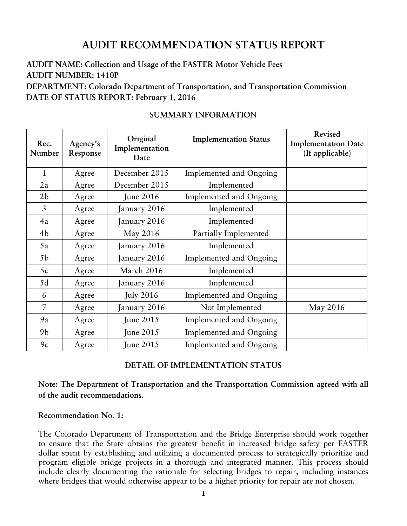# **AUDIT RECOMMENDATION STATUS REPORT**

# **AUDIT NAME: Collection and Usage of the FASTER Motor Vehicle Fees AUDIT NUMBER: 1410P DEPARTMENT: Colorado Department of Transportation, and Transportation Commission DATE OF STATUS REPORT: February 1, 2016**

| Rec.<br>Number | Agency's<br>Response | Original<br>Implementation<br>Date | <b>Implementation Status</b> | Revised<br><b>Implementation Date</b><br>(If applicable) |
|----------------|----------------------|------------------------------------|------------------------------|----------------------------------------------------------|
| $\mathbf{1}$   | Agree                | December 2015                      | Implemented and Ongoing      |                                                          |
| 2a             | Agree                | December 2015                      | Implemented                  |                                                          |
| 2 <sub>b</sub> | Agree                | <b>June 2016</b>                   | Implemented and Ongoing      |                                                          |
| 3              | Agree                | January 2016                       | Implemented                  |                                                          |
| 4a             | Agree                | January 2016                       | Implemented                  |                                                          |
| 4b             | Agree                | May 2016                           | Partially Implemented        |                                                          |
| 5a             | Agree                | January 2016                       | Implemented                  |                                                          |
| 5 <sub>b</sub> | Agree                | January 2016                       | Implemented and Ongoing      |                                                          |
| 5c             | Agree                | March 2016                         | Implemented                  |                                                          |
| 5d             | Agree                | January 2016                       | Implemented                  |                                                          |
| 6              | Agree                | <b>July 2016</b>                   | Implemented and Ongoing      |                                                          |
| 7              | Agree                | January 2016                       | Not Implemented              | May 2016                                                 |
| 9a             | Agree                | June $2015$                        | Implemented and Ongoing      |                                                          |
| 9 <sub>b</sub> | Agree                | <b>June 2015</b>                   | Implemented and Ongoing      |                                                          |
| 9c             | Agree                | <b>June 2015</b>                   | Implemented and Ongoing      |                                                          |

## **SUMMARY INFORMATION**

## **DETAIL OF IMPLEMENTATION STATUS**

**Note: The Department of Transportation and the Transportation Commission agreed with all of the audit recommendations.**

#### **Recommendation No. 1:**

The Colorado Department of Transportation and the Bridge Enterprise should work together to ensure that the State obtains the greatest benefit in increased bridge safety per FASTER dollar spent by establishing and utilizing a documented process to strategically prioritize and program eligible bridge projects in a thorough and integrated manner. This process should include clearly documenting the rationale for selecting bridges to repair, including instances where bridges that would otherwise appear to be a higher priority for repair are not chosen.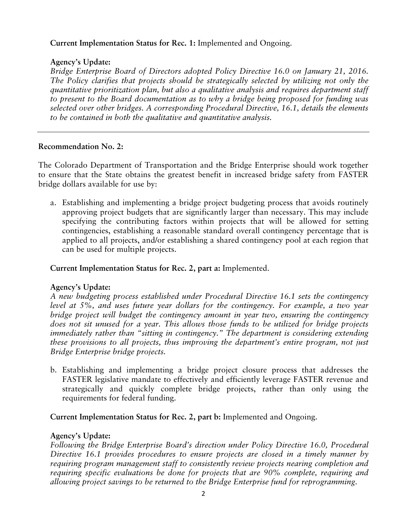## **Current Implementation Status for Rec. 1:** Implemented and Ongoing.

## **Agency's Update:**

*Bridge Enterprise Board of Directors adopted Policy Directive 16.0 on January 21, 2016. The Policy clarifies that projects should be strategically selected by utilizing not only the quantitative prioritization plan, but also a qualitative analysis and requires department staff to present to the Board documentation as to why a bridge being proposed for funding was selected over other bridges. A corresponding Procedural Directive, 16.1, details the elements to be contained in both the qualitative and quantitative analysis.*

# **Recommendation No. 2:**

The Colorado Department of Transportation and the Bridge Enterprise should work together to ensure that the State obtains the greatest benefit in increased bridge safety from FASTER bridge dollars available for use by:

a. Establishing and implementing a bridge project budgeting process that avoids routinely approving project budgets that are significantly larger than necessary. This may include specifying the contributing factors within projects that will be allowed for setting contingencies, establishing a reasonable standard overall contingency percentage that is applied to all projects, and/or establishing a shared contingency pool at each region that can be used for multiple projects.

# **Current Implementation Status for Rec. 2, part a:** Implemented.

# **Agency's Update:**

*A new budgeting process established under Procedural Directive 16.1 sets the contingency level at 5%, and uses future year dollars for the contingency. For example, a two year bridge project will budget the contingency amount in year two, ensuring the contingency does not sit unused for a year. This allows those funds to be utilized for bridge projects immediately rather than "sitting in contingency." The department is considering extending these provisions to all projects, thus improving the department's entire program, not just Bridge Enterprise bridge projects.*

b. Establishing and implementing a bridge project closure process that addresses the FASTER legislative mandate to effectively and efficiently leverage FASTER revenue and strategically and quickly complete bridge projects, rather than only using the requirements for federal funding.

**Current Implementation Status for Rec. 2, part b:** Implemented and Ongoing.

## **Agency's Update:**

*Following the Bridge Enterprise Board's direction under Policy Directive 16.0, Procedural Directive 16.1 provides procedures to ensure projects are closed in a timely manner by requiring program management staff to consistently review projects nearing completion and requiring specific evaluations be done for projects that are 90% complete, requiring and allowing project savings to be returned to the Bridge Enterprise fund for reprogramming.*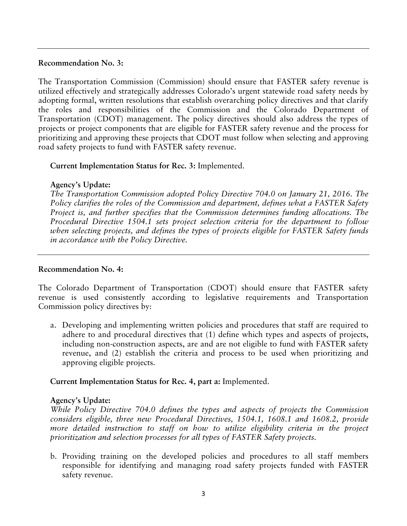#### **Recommendation No. 3:**

The Transportation Commission (Commission) should ensure that FASTER safety revenue is utilized effectively and strategically addresses Colorado's urgent statewide road safety needs by adopting formal, written resolutions that establish overarching policy directives and that clarify the roles and responsibilities of the Commission and the Colorado Department of Transportation (CDOT) management. The policy directives should also address the types of projects or project components that are eligible for FASTER safety revenue and the process for prioritizing and approving these projects that CDOT must follow when selecting and approving road safety projects to fund with FASTER safety revenue.

## **Current Implementation Status for Rec. 3:** Implemented.

# **Agency's Update:**

*The Transportation Commission adopted Policy Directive 704.0 on January 21, 2016. The Policy clarifies the roles of the Commission and department, defines what a FASTER Safety Project is, and further specifies that the Commission determines funding allocations. The Procedural Directive 1504.1 sets project selection criteria for the department to follow when selecting projects, and defines the types of projects eligible for FASTER Safety funds in accordance with the Policy Directive.*

## **Recommendation No. 4:**

The Colorado Department of Transportation (CDOT) should ensure that FASTER safety revenue is used consistently according to legislative requirements and Transportation Commission policy directives by:

a. Developing and implementing written policies and procedures that staff are required to adhere to and procedural directives that (1) define which types and aspects of projects, including non-construction aspects, are and are not eligible to fund with FASTER safety revenue, and (2) establish the criteria and process to be used when prioritizing and approving eligible projects.

**Current Implementation Status for Rec. 4, part a:** Implemented.

# **Agency's Update:**

*While Policy Directive 704.0 defines the types and aspects of projects the Commission considers eligible, three new Procedural Directives, 1504.1, 1608.1 and 1608.2, provide more detailed instruction to staff on how to utilize eligibility criteria in the project prioritization and selection processes for all types of FASTER Safety projects.*

b. Providing training on the developed policies and procedures to all staff members responsible for identifying and managing road safety projects funded with FASTER safety revenue.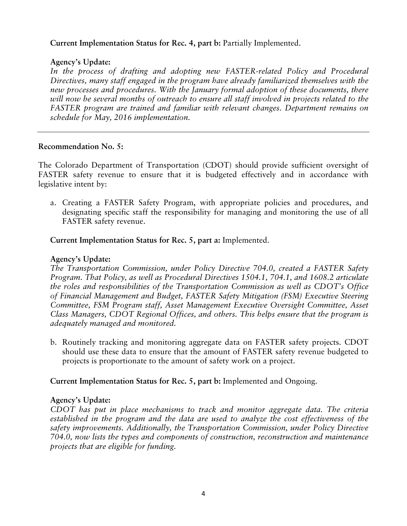## **Current Implementation Status for Rec. 4, part b:** Partially Implemented.

#### **Agency's Update:**

In the process of drafting and adopting new FASTER-related Policy and Procedural *Directives, many staff engaged in the program have already familiarized themselves with the new processes and procedures. With the January formal adoption of these documents, there will now be several months of outreach to ensure all staff involved in projects related to the FASTER program are trained and familiar with relevant changes. Department remains on schedule for May, 2016 implementation.*

#### **Recommendation No. 5:**

The Colorado Department of Transportation (CDOT) should provide sufficient oversight of FASTER safety revenue to ensure that it is budgeted effectively and in accordance with legislative intent by:

a. Creating a FASTER Safety Program, with appropriate policies and procedures, and designating specific staff the responsibility for managing and monitoring the use of all FASTER safety revenue.

**Current Implementation Status for Rec. 5, part a:** Implemented.

#### **Agency's Update:**

*The Transportation Commission, under Policy Directive 704.0, created a FASTER Safety Program. That Policy, as well as Procedural Directives 1504.1, 704.1, and 1608.2 articulate the roles and responsibilities of the Transportation Commission as well as CDOT's Office of Financial Management and Budget, FASTER Safety Mitigation (FSM) Executive Steering Committee, FSM Program staff, Asset Management Executive Oversight Committee, Asset Class Managers, CDOT Regional Offices, and others. This helps ensure that the program is adequately managed and monitored.* 

b. Routinely tracking and monitoring aggregate data on FASTER safety projects. CDOT should use these data to ensure that the amount of FASTER safety revenue budgeted to projects is proportionate to the amount of safety work on a project.

**Current Implementation Status for Rec. 5, part b:** Implemented and Ongoing.

## **Agency's Update:**

*CDOT has put in place mechanisms to track and monitor aggregate data. The criteria established in the program and the data are used to analyze the cost effectiveness of the safety improvements. Additionally, the Transportation Commission, under Policy Directive 704.0, now lists the types and components of construction, reconstruction and maintenance projects that are eligible for funding.*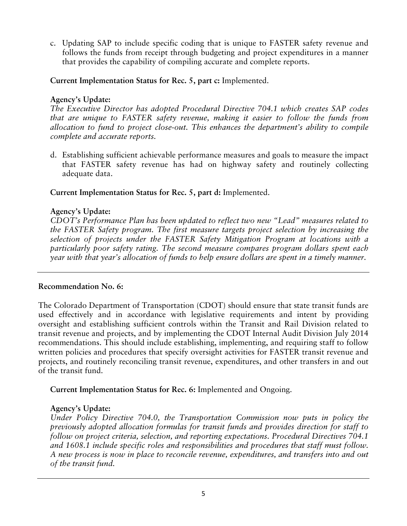c. Updating SAP to include specific coding that is unique to FASTER safety revenue and follows the funds from receipt through budgeting and project expenditures in a manner that provides the capability of compiling accurate and complete reports.

**Current Implementation Status for Rec. 5, part c:** Implemented.

# **Agency's Update:**

*The Executive Director has adopted Procedural Directive 704.1 which creates SAP codes that are unique to FASTER safety revenue, making it easier to follow the funds from allocation to fund to project close-out. This enhances the department's ability to compile complete and accurate reports.* 

d. Establishing sufficient achievable performance measures and goals to measure the impact that FASTER safety revenue has had on highway safety and routinely collecting adequate data.

# **Current Implementation Status for Rec. 5, part d:** Implemented.

# **Agency's Update:**

*CDOT's Performance Plan has been updated to reflect two new "Lead" measures related to the FASTER Safety program. The first measure targets project selection by increasing the selection of projects under the FASTER Safety Mitigation Program at locations with a particularly poor safety rating. The second measure compares program dollars spent each year with that year's allocation of funds to help ensure dollars are spent in a timely manner.*

# **Recommendation No. 6:**

The Colorado Department of Transportation (CDOT) should ensure that state transit funds are used effectively and in accordance with legislative requirements and intent by providing oversight and establishing sufficient controls within the Transit and Rail Division related to transit revenue and projects, and by implementing the CDOT Internal Audit Division July 2014 recommendations. This should include establishing, implementing, and requiring staff to follow written policies and procedures that specify oversight activities for FASTER transit revenue and projects, and routinely reconciling transit revenue, expenditures, and other transfers in and out of the transit fund.

**Current Implementation Status for Rec. 6:** Implemented and Ongoing.

# **Agency's Update:**

*Under Policy Directive 704.0, the Transportation Commission now puts in policy the previously adopted allocation formulas for transit funds and provides direction for staff to follow on project criteria, selection, and reporting expectations. Procedural Directives 704.1 and 1608.1 include specific roles and responsibilities and procedures that staff must follow. A new process is now in place to reconcile revenue, expenditures, and transfers into and out of the transit fund.*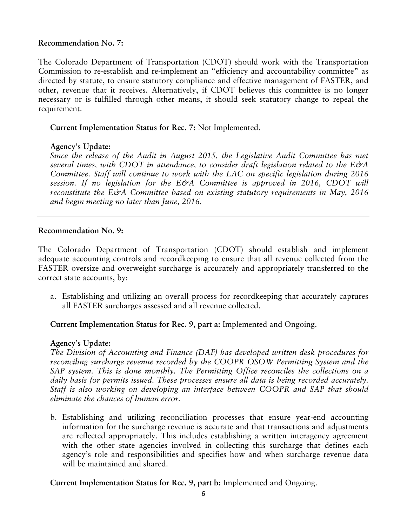#### **Recommendation No. 7:**

The Colorado Department of Transportation (CDOT) should work with the Transportation Commission to re-establish and re-implement an "efficiency and accountability committee" as directed by statute, to ensure statutory compliance and effective management of FASTER, and other, revenue that it receives. Alternatively, if CDOT believes this committee is no longer necessary or is fulfilled through other means, it should seek statutory change to repeal the requirement.

## **Current Implementation Status for Rec. 7:** Not Implemented.

#### **Agency's Update:**

*Since the release of the Audit in August 2015, the Legislative Audit Committee has met several times, with CDOT in attendance, to consider draft legislation related to the E&A Committee. Staff will continue to work with the LAC on specific legislation during 2016 session. If no legislation for the E&A Committee is approved in 2016, CDOT will reconstitute the E&A Committee based on existing statutory requirements in May, 2016 and begin meeting no later than June, 2016.*

#### **Recommendation No. 9:**

The Colorado Department of Transportation (CDOT) should establish and implement adequate accounting controls and recordkeeping to ensure that all revenue collected from the FASTER oversize and overweight surcharge is accurately and appropriately transferred to the correct state accounts, by:

a. Establishing and utilizing an overall process for recordkeeping that accurately captures all FASTER surcharges assessed and all revenue collected.

## **Current Implementation Status for Rec. 9, part a:** Implemented and Ongoing.

#### **Agency's Update:**

*The Division of Accounting and Finance (DAF) has developed written desk procedures for reconciling surcharge revenue recorded by the COOPR OSOW Permitting System and the SAP system. This is done monthly. The Permitting Office reconciles the collections on a daily basis for permits issued. These processes ensure all data is being recorded accurately. Staff is also working on developing an interface between COOPR and SAP that should eliminate the chances of human error.*

b. Establishing and utilizing reconciliation processes that ensure year-end accounting information for the surcharge revenue is accurate and that transactions and adjustments are reflected appropriately. This includes establishing a written interagency agreement with the other state agencies involved in collecting this surcharge that defines each agency's role and responsibilities and specifies how and when surcharge revenue data will be maintained and shared.

#### **Current Implementation Status for Rec. 9, part b:** Implemented and Ongoing.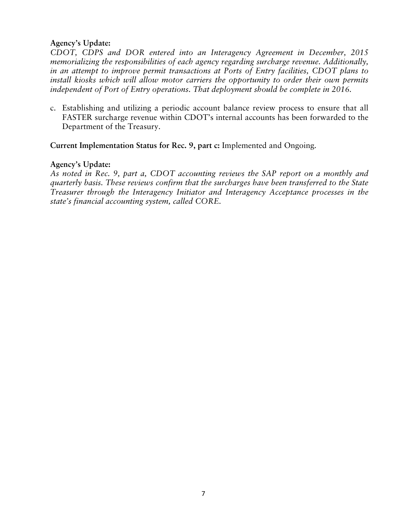## **Agency's Update:**

*CDOT, CDPS and DOR entered into an Interagency Agreement in December, 2015 memorializing the responsibilities of each agency regarding surcharge revenue. Additionally, in an attempt to improve permit transactions at Ports of Entry facilities, CDOT plans to install kiosks which will allow motor carriers the opportunity to order their own permits independent of Port of Entry operations. That deployment should be complete in 2016.* 

c. Establishing and utilizing a periodic account balance review process to ensure that all FASTER surcharge revenue within CDOT's internal accounts has been forwarded to the Department of the Treasury.

**Current Implementation Status for Rec. 9, part c:** Implemented and Ongoing.

#### **Agency's Update:**

*As noted in Rec. 9, part a, CDOT accounting reviews the SAP report on a monthly and quarterly basis. These reviews confirm that the surcharges have been transferred to the State Treasurer through the Interagency Initiator and Interagency Acceptance processes in the state's financial accounting system, called CORE.*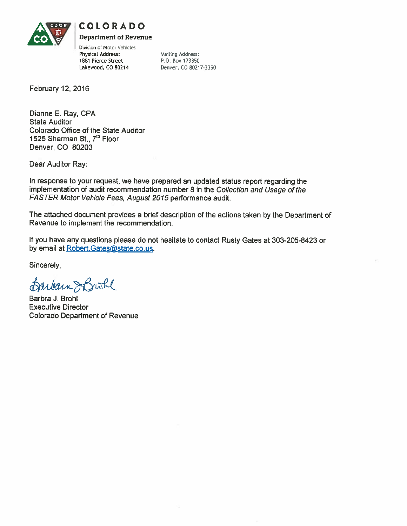

# **COLORADO**

**Department of Revenue** 

Division of Motor Vehicles Physical Address: 1881 Pierce Street Lakewood, CO 80214

**Mailing Address:** P.O. Box 173350 Denver, CO 80217-3350

February 12, 2016

Dianne E. Ray, CPA **State Auditor** Colorado Office of the State Auditor 1525 Sherman St., 7th Floor Denver, CO 80203

Dear Auditor Ray:

In response to your request, we have prepared an updated status report regarding the implementation of audit recommendation number 8 in the Collection and Usage of the FASTER Motor Vehicle Fees, August 2015 performance audit.

The attached document provides a brief description of the actions taken by the Department of Revenue to implement the recommendation.

If you have any questions please do not hesitate to contact Rusty Gates at 303-205-8423 or by email at Robert. Gates@state.co.us.

Sincerely,

Barbara SBroke

Barbra J. Brohl **Executive Director Colorado Department of Revenue**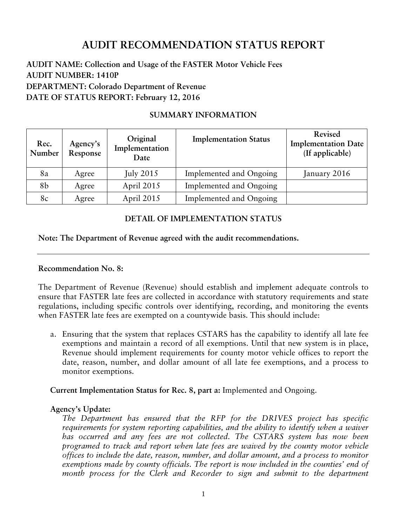# **AUDIT RECOMMENDATION STATUS REPORT**

# **AUDIT NAME: Collection and Usage of the FASTER Motor Vehicle Fees AUDIT NUMBER: 1410P DEPARTMENT: Colorado Department of Revenue DATE OF STATUS REPORT: February 12, 2016**

# **SUMMARY INFORMATION**

| Rec.<br>Number | Agency's<br>Response | Original<br>Implementation<br>Date | <b>Implementation Status</b> | Revised<br><b>Implementation Date</b><br>(If applicable) |
|----------------|----------------------|------------------------------------|------------------------------|----------------------------------------------------------|
| 8a             | Agree                | July $2015$                        | Implemented and Ongoing      | January 2016                                             |
| 8b             | Agree                | April 2015                         | Implemented and Ongoing      |                                                          |
| 8c             | Agree                | April 2015                         | Implemented and Ongoing      |                                                          |

# **DETAIL OF IMPLEMENTATION STATUS**

## **Note: The Department of Revenue agreed with the audit recommendations.**

## **Recommendation No. 8:**

The Department of Revenue (Revenue) should establish and implement adequate controls to ensure that FASTER late fees are collected in accordance with statutory requirements and state regulations, including specific controls over identifying, recording, and monitoring the events when FASTER late fees are exempted on a countywide basis. This should include:

a. Ensuring that the system that replaces CSTARS has the capability to identify all late fee exemptions and maintain a record of all exemptions. Until that new system is in place, Revenue should implement requirements for county motor vehicle offices to report the date, reason, number, and dollar amount of all late fee exemptions, and a process to monitor exemptions.

## **Current Implementation Status for Rec. 8, part a:** Implemented and Ongoing.

## **Agency's Update:**

*The Department has ensured that the RFP for the DRIVES project has specific requirements for system reporting capabilities, and the ability to identify when a waiver has occurred and any fees are not collected. The CSTARS system has now been programed to track and report when late fees are waived by the county motor vehicle offices to include the date, reason, number, and dollar amount, and a process to monitor exemptions made by county officials. The report is now included in the counties' end of*  month process for the Clerk and Recorder to sign and submit to the department